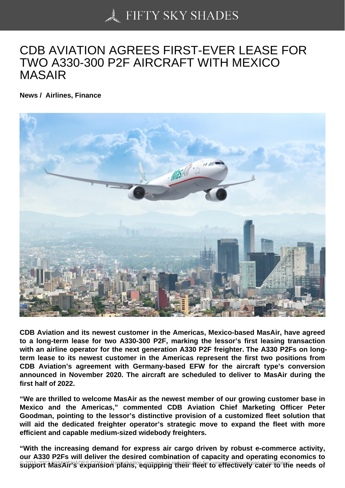## [CDB AVIATION AGRE](https://50skyshades.com)ES FIRST-EVER LEASE FOR TWO A330-300 P2F AIRCRAFT WITH MEXICO MASAIR

News / Airlines, Finance

CDB Aviation and its newest customer in the Americas, Mexico-based MasAir, have agreed to a long-term lease for two A330-300 P2F, marking the lessor's first leasing transaction with an airline operator for the next generation A330 P2F freighter. The A330 P2Fs on longterm lease to its newest customer in the Americas represent the first two positions from CDB Aviation's agreement with Germany-based EFW for the aircraft type's conversion announced in November 2020. The aircraft are scheduled to deliver to MasAir during the first half of 2022.

"We are thrilled to welcome MasAir as the newest member of our growing customer base in Mexico and the Americas," commented CDB Aviation Chief Marketing Officer Peter Goodman, pointing to the lessor's distinctive provision of a customized fleet solution that will aid the dedicated freighter operator's strategic move to expand the fleet with more efficient and capable medium-sized widebody freighters.

"With the increasing demand for express air cargo driven by robust e-commerce activity, our A330 P2Fs will deliver the desired combination of capacity and operating economics to support MasAir's expansion plans, equipping their fleet to effectively cater to the needs of <sup>1</sup>